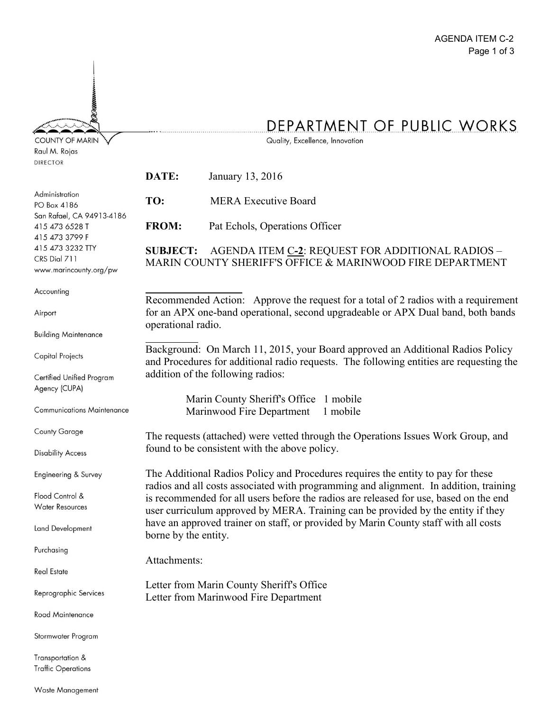## DEPARTMENT OF PUBLIC WORKS

Quality, Excellence, Innovation

| <b>DIRECTOR</b>                                               |                                                                                                                                                                           |                                                                                    |
|---------------------------------------------------------------|---------------------------------------------------------------------------------------------------------------------------------------------------------------------------|------------------------------------------------------------------------------------|
|                                                               | DATE:                                                                                                                                                                     | January 13, 2016                                                                   |
| Administration<br>PO Box 4186                                 | TO:                                                                                                                                                                       | <b>MERA Executive Board</b>                                                        |
| San Rafael, CA 94913-4186<br>415 473 6528 T<br>415 473 3799 F | <b>FROM:</b>                                                                                                                                                              | Pat Echols, Operations Officer                                                     |
| 415 473 3232 TTY<br>CRS Dial 711<br>www.marincounty.org/pw    | AGENDA ITEM C-2: REQUEST FOR ADDITIONAL RADIOS -<br><b>SUBJECT:</b><br>MARIN COUNTY SHERIFF'S OFFICE & MARINWOOD FIRE DEPARTMENT                                          |                                                                                    |
| Accounting                                                    |                                                                                                                                                                           | Recommended Action: Approve the request for a total of 2 radios with a requirement |
| Airport                                                       | for an APX one-band operational, second upgradeable or APX Dual band, both bands<br>operational radio.                                                                    |                                                                                    |
| <b>Building Maintenance</b>                                   |                                                                                                                                                                           |                                                                                    |
| <b>Capital Projects</b>                                       | Background: On March 11, 2015, your Board approved an Additional Radios Policy<br>and Procedures for additional radio requests. The following entities are requesting the |                                                                                    |
| Certified Unified Program<br>Agency (CUPA)                    |                                                                                                                                                                           | addition of the following radios:                                                  |
| <b>Communications Maintenance</b>                             | Marin County Sheriff's Office 1 mobile<br>Marinwood Fire Department<br>1 mobile                                                                                           |                                                                                    |
| <b>County Garage</b>                                          | The requests (attached) were vetted through the Operations Issues Work Group, and                                                                                         |                                                                                    |
| <b>Disability Access</b>                                      |                                                                                                                                                                           | found to be consistent with the above policy.                                      |
| Engineering & Survey                                          | The Additional Radios Policy and Procedures requires the entity to pay for these<br>radios and all costs associated with programming and alignment. In addition, training |                                                                                    |
| Flood Control &<br><b>Water Resources</b>                     | is recommended for all users before the radios are released for use, based on the end<br>user curriculum approved by MERA. Training can be provided by the entity if they |                                                                                    |
| Land Development                                              | have an approved trainer on staff, or provided by Marin County staff with all costs<br>borne by the entity.                                                               |                                                                                    |
| Purchasing                                                    | Attachments:                                                                                                                                                              |                                                                                    |
| <b>Real Estate</b>                                            |                                                                                                                                                                           |                                                                                    |
| Reprographic Services                                         | Letter from Marin County Sheriff's Office<br>Letter from Marinwood Fire Department                                                                                        |                                                                                    |
| Road Maintenance                                              |                                                                                                                                                                           |                                                                                    |
| Stormwater Program                                            |                                                                                                                                                                           |                                                                                    |
| Transportation &<br><b>Traffic Operations</b>                 |                                                                                                                                                                           |                                                                                    |

**COUNTY OF MARIN** Raul M. Rojas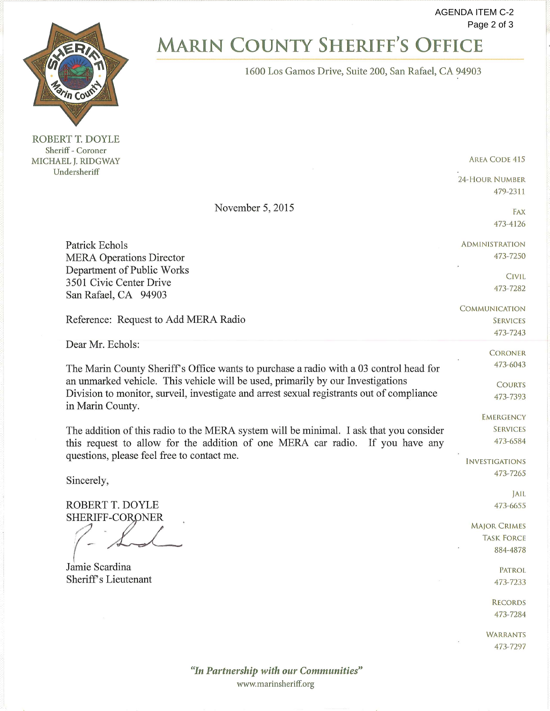**AGENDA ITEM C-2** Page 2 of 3



ROBERT T. DOYLE Sheriff - Coroner MICHAEL J. RIDGWAY Undersheriff

## **MARIN COUNTY SHERIFF'S OFFICE**

1600 Los Gamos Drive, Suite 200, San Rafael, CA 94903

**AREA CODE 415** 

24-HOUR NUMBER 479-2311

November 5, 2015

473-4126 **ADMINISTRATION** 473-7250

> **CIVIL** 473-7282

FAX

**COMMUNICATION SERVICES** 473-7243

> **CORONER** 473-6043

**COURTS** 473-7393

**EMERGENCY SERVICES** 473-6584

**INVESTIGATIONS** 473-7265

> JAIL 473-6655

**MAJOR CRIMES TASK FORCE** 884-4878

> **PATROL** 473-7233

**RECORDS** 473-7284

**WARRANTS** 473-7297

"In Partnership with our Communities" www.marinsheriff.org

Patrick Echols **MERA Operations Director** Department of Public Works 3501 Civic Center Drive San Rafael, CA 94903

Reference: Request to Add MERA Radio

Dear Mr. Echols:

The Marin County Sheriff's Office wants to purchase a radio with a 03 control head for an unmarked vehicle. This vehicle will be used, primarily by our Investigations Division to monitor, surveil, investigate and arrest sexual registrants out of compliance in Marin County.

The addition of this radio to the MERA system will be minimal. I ask that you consider this request to allow for the addition of one MERA car radio. If you have any questions, please feel free to contact me.

Sincerely,

ROBERT T. DOYLE SHERIFF-CORONER

Jamie Scardina Sheriff's Lieutenant